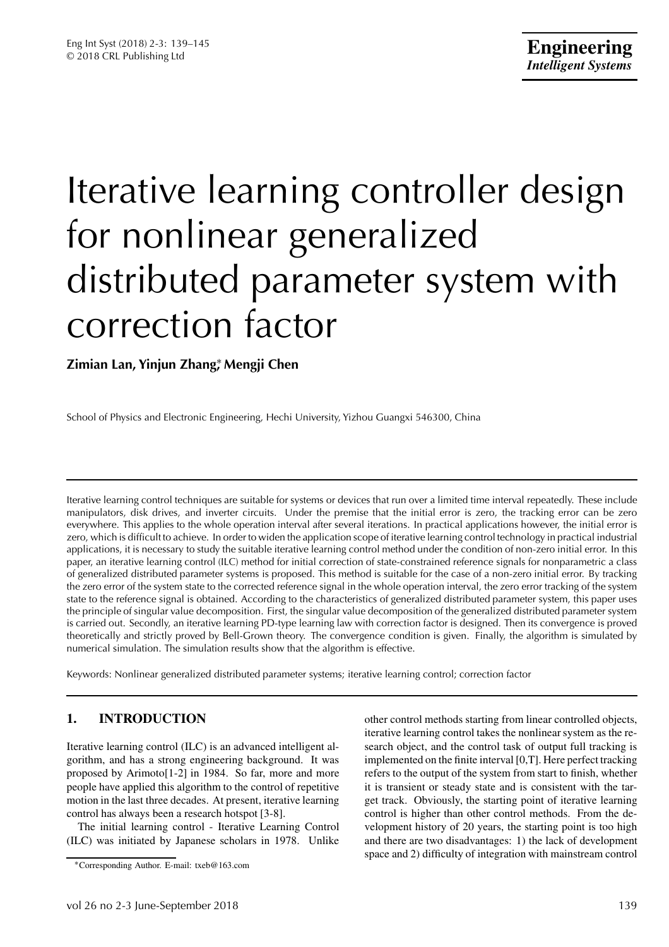# Iterative learning controller design for nonlinear generalized distributed parameter system with correction factor

**Zimian Lan, Yinjun Zhang**∗ **, Mengji Chen**

School of Physics and Electronic Engineering, Hechi University, Yizhou Guangxi 546300, China

Iterative learning control techniques are suitable for systems or devices that run over a limited time interval repeatedly. These include manipulators, disk drives, and inverter circuits. Under the premise that the initial error is zero, the tracking error can be zero everywhere. This applies to the whole operation interval after several iterations. In practical applications however, the initial error is zero, which is difficult to achieve. In order to widen the application scope of iterative learning control technology in practical industrial applications, it is necessary to study the suitable iterative learning control method under the condition of non-zero initial error. In this paper, an iterative learning control (ILC) method for initial correction of state-constrained reference signals for nonparametric a class of generalized distributed parameter systems is proposed. This method is suitable for the case of a non-zero initial error. By tracking the zero error of the system state to the corrected reference signal in the whole operation interval, the zero error tracking of the system state to the reference signal is obtained. According to the characteristics of generalized distributed parameter system, this paper uses the principle of singular value decomposition. First, the singular value decomposition of the generalized distributed parameter system is carried out. Secondly, an iterative learning PD-type learning law with correction factor is designed. Then its convergence is proved theoretically and strictly proved by Bell-Grown theory. The convergence condition is given. Finally, the algorithm is simulated by numerical simulation. The simulation results show that the algorithm is effective.

Keywords: Nonlinear generalized distributed parameter systems; iterative learning control; correction factor

# **1. INTRODUCTION**

Iterative learning control (ILC) is an advanced intelligent algorithm, and has a strong engineering background. It was proposed by Arimoto[1-2] in 1984. So far, more and more people have applied this algorithm to the control of repetitive motion in the last three decades. At present, iterative learning control has always been a research hotspot [3-8].

The initial learning control - Iterative Learning Control (ILC) was initiated by Japanese scholars in 1978. Unlike

other control methods starting from linear controlled objects, iterative learning control takes the nonlinear system as the research object, and the control task of output full tracking is implemented on the finite interval [0,T]. Here perfect tracking refers to the output of the system from start to finish, whether it is transient or steady state and is consistent with the target track. Obviously, the starting point of iterative learning control is higher than other control methods. From the development history of 20 years, the starting point is too high and there are two disadvantages: 1) the lack of development space and 2) difficulty of integration with mainstream control

<sup>∗</sup>Corresponding Author. E-mail: txeb@163.com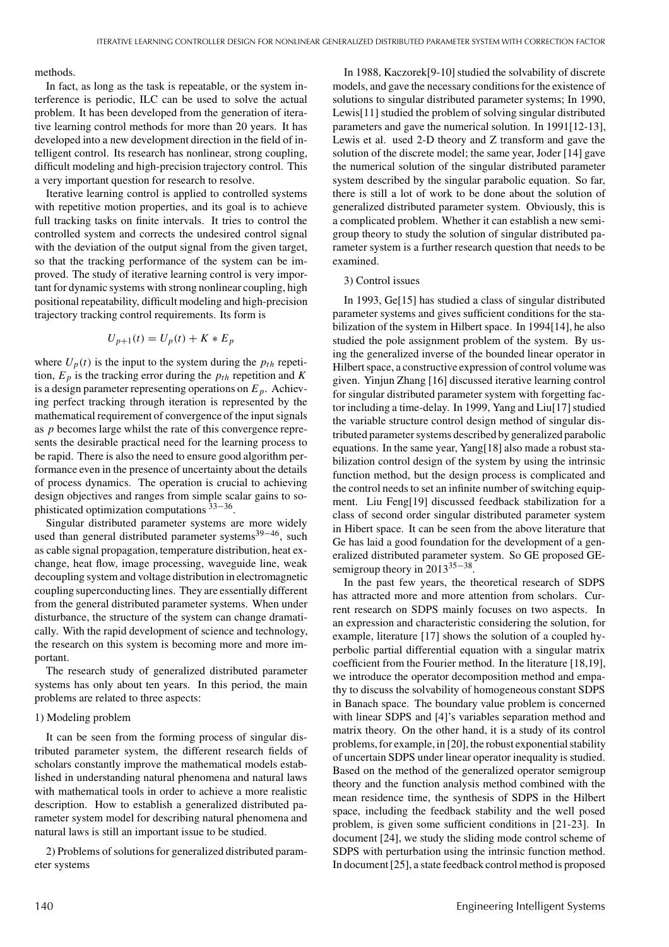methods.

In fact, as long as the task is repeatable, or the system interference is periodic, ILC can be used to solve the actual problem. It has been developed from the generation of iterative learning control methods for more than 20 years. It has developed into a new development direction in the field of intelligent control. Its research has nonlinear, strong coupling, difficult modeling and high-precision trajectory control. This a very important question for research to resolve.

Iterative learning control is applied to controlled systems with repetitive motion properties, and its goal is to achieve full tracking tasks on finite intervals. It tries to control the controlled system and corrects the undesired control signal with the deviation of the output signal from the given target, so that the tracking performance of the system can be improved. The study of iterative learning control is very important for dynamic systems with strong nonlinear coupling, high positional repeatability, difficult modeling and high-precision trajectory tracking control requirements. Its form is

$$
U_{p+1}(t) = U_p(t) + K * E_p
$$

where  $U_p(t)$  is the input to the system during the  $p_{th}$  repetition,  $E_p$  is the tracking error during the  $p_{th}$  repetition and *K* is a design parameter representing operations on  $E_p$ . Achieving perfect tracking through iteration is represented by the mathematical requirement of convergence of the input signals as *p* becomes large whilst the rate of this convergence represents the desirable practical need for the learning process to be rapid. There is also the need to ensure good algorithm performance even in the presence of uncertainty about the details of process dynamics. The operation is crucial to achieving design objectives and ranges from simple scalar gains to sophisticated optimization computations <sup>33</sup>−36.

Singular distributed parameter systems are more widely used than general distributed parameter systems<sup>39–46</sup>, such as cable signal propagation, temperature distribution, heat exchange, heat flow, image processing, waveguide line, weak decoupling system and voltage distribution in electromagnetic coupling superconductinglines. They are essentially different from the general distributed parameter systems. When under disturbance, the structure of the system can change dramatically. With the rapid development of science and technology, the research on this system is becoming more and more important.

The research study of generalized distributed parameter systems has only about ten years. In this period, the main problems are related to three aspects:

#### 1) Modeling problem

It can be seen from the forming process of singular distributed parameter system, the different research fields of scholars constantly improve the mathematical models established in understanding natural phenomena and natural laws with mathematical tools in order to achieve a more realistic description. How to establish a generalized distributed parameter system model for describing natural phenomena and natural laws is still an important issue to be studied.

2) Problems of solutions for generalized distributed parameter systems

In 1988, Kaczorek[9-10] studied the solvability of discrete models, and gave the necessary conditions for the existence of solutions to singular distributed parameter systems; In 1990, Lewis[11] studied the problem of solving singular distributed parameters and gave the numerical solution. In 1991[12-13], Lewis et al. used 2-D theory and Z transform and gave the solution of the discrete model; the same year, Joder [14] gave the numerical solution of the singular distributed parameter system described by the singular parabolic equation. So far, there is still a lot of work to be done about the solution of generalized distributed parameter system. Obviously, this is a complicated problem. Whether it can establish a new semigroup theory to study the solution of singular distributed parameter system is a further research question that needs to be examined.

#### 3) Control issues

In 1993, Ge[15] has studied a class of singular distributed parameter systems and gives sufficient conditions for the stabilization of the system in Hilbert space. In 1994[14], he also studied the pole assignment problem of the system. By using the generalized inverse of the bounded linear operator in Hilbert space, a constructive expression of control volume was given. Yinjun Zhang [16] discussed iterative learning control for singular distributed parameter system with forgetting factor including a time-delay. In 1999, Yang and Liu[17] studied the variable structure control design method of singular distributed parameter systems described by generalized parabolic equations. In the same year, Yang[18] also made a robust stabilization control design of the system by using the intrinsic function method, but the design process is complicated and the control needs to set an infinite number of switching equipment. Liu Feng[19] discussed feedback stabilization for a class of second order singular distributed parameter system in Hibert space. It can be seen from the above literature that Ge has laid a good foundation for the development of a generalized distributed parameter system. So GE proposed GEsemigroup theory in 2013<sup>35–38</sup>.

In the past few years, the theoretical research of SDPS has attracted more and more attention from scholars. Current research on SDPS mainly focuses on two aspects. In an expression and characteristic considering the solution, for example, literature [17] shows the solution of a coupled hyperbolic partial differential equation with a singular matrix coefficient from the Fourier method. In the literature [18,19], we introduce the operator decomposition method and empathy to discuss the solvability of homogeneous constant SDPS in Banach space. The boundary value problem is concerned with linear SDPS and [4]'s variables separation method and matrix theory. On the other hand, it is a study of its control problems, for example,in [20], the robust exponential stability of uncertain SDPS under linear operator inequality is studied. Based on the method of the generalized operator semigroup theory and the function analysis method combined with the mean residence time, the synthesis of SDPS in the Hilbert space, including the feedback stability and the well posed problem, is given some sufficient conditions in [21-23]. In document [24], we study the sliding mode control scheme of SDPS with perturbation using the intrinsic function method. In document [25], a state feedback control method is proposed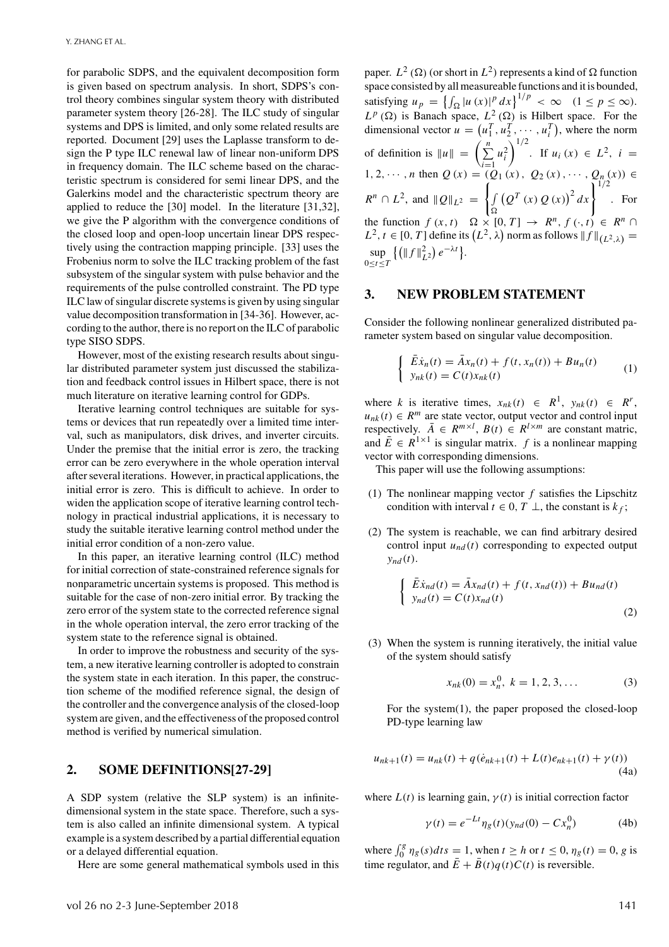for parabolic SDPS, and the equivalent decomposition form is given based on spectrum analysis. In short, SDPS's control theory combines singular system theory with distributed parameter system theory [26-28]. The ILC study of singular systems and DPS is limited, and only some related results are reported. Document [29] uses the Laplasse transform to design the P type ILC renewal law of linear non-uniform DPS in frequency domain. The ILC scheme based on the characteristic spectrum is considered for semi linear DPS, and the Galerkins model and the characteristic spectrum theory are applied to reduce the [30] model. In the literature [31,32], we give the P algorithm with the convergence conditions of the closed loop and open-loop uncertain linear DPS respectively using the contraction mapping principle. [33] uses the Frobenius norm to solve the ILC tracking problem of the fast subsystem of the singular system with pulse behavior and the requirements of the pulse controlled constraint. The PD type ILC law of singular discrete systems is given by using singular value decomposition transformation in [34-36]. However, according to the author, there is no report on the ILC of parabolic type SISO SDPS.

However, most of the existing research results about singular distributed parameter system just discussed the stabilization and feedback control issues in Hilbert space, there is not much literature on iterative learning control for GDPs.

Iterative learning control techniques are suitable for systems or devices that run repeatedly over a limited time interval, such as manipulators, disk drives, and inverter circuits. Under the premise that the initial error is zero, the tracking error can be zero everywhere in the whole operation interval after several iterations. However, in practical applications, the initial error is zero. This is difficult to achieve. In order to widen the application scope of iterative learning control technology in practical industrial applications, it is necessary to study the suitable iterative learning control method under the initial error condition of a non-zero value.

In this paper, an iterative learning control (ILC) method for initial correction of state-constrained reference signals for nonparametric uncertain systems is proposed. This method is suitable for the case of non-zero initial error. By tracking the zero error of the system state to the corrected reference signal in the whole operation interval, the zero error tracking of the system state to the reference signal is obtained.

In order to improve the robustness and security of the system, a new iterative learning controller is adopted to constrain the system state in each iteration. In this paper, the construction scheme of the modified reference signal, the design of the controller and the convergence analysis of the closed-loop system are given, and the effectiveness of the proposed control method is verified by numerical simulation.

## **2. SOME DEFINITIONS[27-29]**

A SDP system (relative the SLP system) is an infinitedimensional system in the state space. Therefore, such a system is also called an infinite dimensional system. A typical example is a system described by a partial differential equation or a delayed differential equation.

Here are some general mathematical symbols used in this

paper.  $L^2(\Omega)$  (or short in  $L^2$ ) represents a kind of  $\Omega$  function space consisted by all measureable functions and it is bounded, satisfying  $u_p = \left\{ \int_{\Omega} |u(x)|^p dx \right\}^{1/p} < \infty \quad (1 \le p \le \infty).$  $L^p(\Omega)$  is Banach space,  $L^2(\Omega)$  is Hilbert space. For the dimensional vector  $u = (u_1^T, u_2^T, \dots, u_i^T)$ , where the norm of definition is  $||u|| = \left(\sum_{n=1}^{n}$  $i=1$  $u_i^2$  $\int^{1/2}$ . If  $u_i(x) \in L^2$ ,  $i =$ 1, 2, ···, *n* then  $Q(x) = (Q_1(x), Q_2(x), \cdots, Q_n(x))$  ∈  $R^n \cap L^2$ , and  $||Q||_{L^2} = \left\{$  $\sqrt{ }$  $\Omega$  $(Q^T (x) Q(x))^2 dx$ <sup>1/2</sup>. For the function  $f(x, t)$   $\Omega \times [0, T] \rightarrow R^n, f(\cdot, t) \in R^n \cap$  $L^2$ ,  $t \in [0, T]$  define its  $\left( L^2, \lambda \right)$  norm as follows  $\| f \|_{\left( L^2, \lambda \right)} =$ sup 0≤*t*≤*T*  $\{(\|f\|_{L^2}^2) e^{-\lambda t}\}.$ 

### **3. NEW PROBLEM STATEMENT**

Consider the following nonlinear generalized distributed parameter system based on singular value decomposition.

$$
\begin{cases} \n\bar{E}\dot{x}_n(t) = \bar{A}x_n(t) + f(t, x_n(t)) + Bu_n(t) \\
y_{nk}(t) = C(t)x_{nk}(t) \n\end{cases} \tag{1}
$$

where *k* is iterative times,  $x_{nk}(t) \in R^1$ ,  $y_{nk}(t) \in R^r$ ,  $u_{nk}(t) \in R^m$  are state vector, output vector and control input respectively.  $\overline{A} \in R^{m \times l}$ ,  $B(t) \in R^{l \times m}$  are constant matric, and  $\overline{E} \in R^{1 \times 1}$  is singular matrix. *f* is a nonlinear mapping vector with corresponding dimensions.

This paper will use the following assumptions:

- (1) The nonlinear mapping vector  $f$  satisfies the Lipschitz condition with interval  $t \in 0, T \perp$ , the constant is  $k_f$ ;
- (2) The system is reachable, we can find arbitrary desired control input  $u_{nd}(t)$  corresponding to expected output  $y_{nd}(t)$ .

$$
\begin{cases} \bar{E}\dot{x}_{nd}(t) = \bar{A}x_{nd}(t) + f(t, x_{nd}(t)) + Bu_{nd}(t) \\ y_{nd}(t) = C(t)x_{nd}(t) \end{cases}
$$
(2)

(3) When the system is running iteratively, the initial value of the system should satisfy

$$
x_{nk}(0) = x_n^0, \ k = 1, 2, 3, \dots \tag{3}
$$

For the system(1), the paper proposed the closed-loop PD-type learning law

$$
u_{nk+1}(t) = u_{nk}(t) + q(\dot{e}_{nk+1}(t) + L(t)e_{nk+1}(t) + \gamma(t))
$$
\n(4a)

where  $L(t)$  is learning gain,  $\gamma(t)$  is initial correction factor

$$
\gamma(t) = e^{-Lt} \eta_g(t) (y_{nd}(0) - C x_n^0)
$$
 (4b)

where  $\int_0^g \eta_g(s) dt s = 1$ , when  $t \ge h$  or  $t \le 0$ ,  $\eta_g(t) = 0$ , g is time regulator, and  $\bar{E} + \bar{B}(t)q(t)C(t)$  is reversible.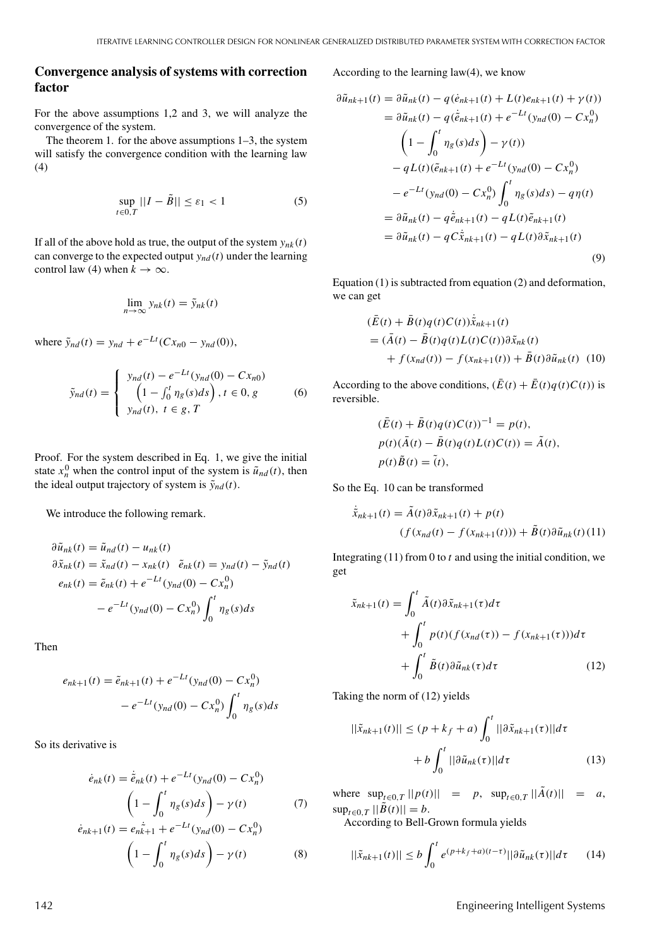## **Convergence analysis of systems with correction factor**

For the above assumptions 1,2 and 3, we will analyze the convergence of the system.

The theorem 1. for the above assumptions 1–3, the system will satisfy the convergence condition with the learning law (4)

$$
\sup_{t \in 0,T} ||I - \tilde{B}|| \le \varepsilon_1 < 1 \tag{5}
$$

If all of the above hold as true, the output of the system  $y_{nk}(t)$ can converge to the expected output  $y_{nd}(t)$  under the learning control law (4) when  $k \to \infty$ .

$$
\lim_{n\to\infty} y_{nk}(t) = \tilde{y}_{nk}(t)
$$

where  $\tilde{y}_{nd}(t) = y_{nd} + e^{-Lt}(Cx_{n0} - y_{nd}(0)),$ 

$$
\tilde{y}_{nd}(t) = \begin{cases}\ny_{nd}(t) - e^{-Lt}(y_{nd}(0) - Cx_{n0}) \\
\left(1 - \int_0^t \eta_g(s)ds\right), t \in 0, g \\
y_{nd}(t), t \in g, T\n\end{cases}
$$
\n(6)

Proof. For the system described in Eq. 1, we give the initial state  $x_n^0$  when the control input of the system is  $\tilde{u}_{nd}(t)$ , then the ideal output trajectory of system is  $\tilde{y}_{nd}(t)$ .

We introduce the following remark.

$$
\partial \tilde{u}_{nk}(t) = \tilde{u}_{nd}(t) - u_{nk}(t)
$$
  
\n
$$
\partial \tilde{x}_{nk}(t) = \tilde{x}_{nd}(t) - x_{nk}(t) \quad \tilde{e}_{nk}(t) = y_{nd}(t) - \tilde{y}_{nd}(t)
$$
  
\n
$$
e_{nk}(t) = \tilde{e}_{nk}(t) + e^{-Lt}(y_{nd}(0) - Cx_n^0)
$$
  
\n
$$
- e^{-Lt}(y_{nd}(0) - Cx_n^0) \int_0^t \eta_g(s) ds
$$

Then

$$
e_{nk+1}(t) = \tilde{e}_{nk+1}(t) + e^{-Lt}(y_{nd}(0) - Cx_n^0)
$$

$$
- e^{-Lt}(y_{nd}(0) - Cx_n^0) \int_0^t \eta_g(s)ds
$$

So its derivative is

$$
\dot{e}_{nk}(t) = \dot{\tilde{e}}_{nk}(t) + e^{-Lt}(y_{nd}(0) - Cx_n^0)
$$
  
\n
$$
\left(1 - \int_0^t \eta_g(s)ds\right) - \gamma(t) \tag{7}
$$
  
\n
$$
\dot{e}_{nk+1}(t) = e_n \dot{\tilde{k}}_{n+1} + e^{-Lt}(y_{nd}(0) - Cx_n^0)
$$
  
\n
$$
\left(1 - \int_0^t \eta_g(s)ds\right) - \gamma(t) \tag{8}
$$

According to the learning law(4), we know

$$
\partial \tilde{u}_{nk+1}(t) = \partial \tilde{u}_{nk}(t) - q(\dot{e}_{nk+1}(t) + L(t)e_{nk+1}(t) + \gamma(t))
$$
  
\n
$$
= \partial \tilde{u}_{nk}(t) - q(\dot{\tilde{e}}_{nk+1}(t) + e^{-Lt}(y_{nd}(0) - Cx_n^0)
$$
  
\n
$$
\left(1 - \int_0^t \eta_g(s)ds\right) - \gamma(t))
$$
  
\n
$$
- qL(t)(\tilde{e}_{nk+1}(t) + e^{-Lt}(y_{nd}(0) - Cx_n^0)
$$
  
\n
$$
- e^{-Lt}(y_{nd}(0) - Cx_n^0) \int_0^t \eta_g(s)ds - q\eta(t)
$$
  
\n
$$
= \partial \tilde{u}_{nk}(t) - q\dot{\tilde{e}}_{nk+1}(t) - qL(t)\tilde{e}_{nk+1}(t)
$$
  
\n
$$
= \partial \tilde{u}_{nk}(t) - qC\dot{\tilde{x}}_{nk+1}(t) - qL(t)\partial \tilde{x}_{nk+1}(t)
$$
  
\n(9)

Equation (1) is subtracted from equation (2) and deformation, we can get

$$
(E(t) + B(t)q(t)C(t))\tilde{x}_{nk+1}(t)
$$
  
=  $(\bar{A}(t) - \bar{B}(t)q(t)L(t)C(t))\partial \tilde{x}_{nk}(t)$   
+  $f(x_{nd}(t)) - f(x_{nk+1}(t)) + \bar{B}(t)\partial \tilde{u}_{nk}(t)$  (10)

According to the above conditions,  $(\bar{E}(t) + \bar{E}(t)q(t)C(t))$  is reversible.

$$
\begin{aligned} (\bar{E}(t) + \bar{B}(t)q(t)C(t))^{-1} &= p(t),\\ p(t)(\bar{A}(t) - \bar{B}(t)q(t)L(t)C(t)) &= \tilde{A}(t),\\ p(t)\tilde{B}(t) &= \tilde{t}), \end{aligned}
$$

So the Eq. 10 can be transformed

$$
\tilde{\tilde{x}}_{nk+1}(t) = \tilde{A}(t)\partial \tilde{x}_{nk+1}(t) + p(t)
$$

$$
(f(x_{nd}(t) - f(x_{nk+1}(t))) + \tilde{B}(t)\partial \tilde{u}_{nk}(t)(11))
$$

Integrating (11) from 0 to *t* and using the initial condition, we get

$$
\tilde{x}_{nk+1}(t) = \int_0^t \tilde{A}(t)\partial \tilde{x}_{nk+1}(\tau)d\tau \n+ \int_0^t p(t)(f(x_{nd}(\tau)) - f(x_{nk+1}(\tau)))d\tau \n+ \int_0^t \tilde{B}(t)\partial \tilde{u}_{nk}(\tau)d\tau
$$
\n(12)

Taking the norm of (12) yields

$$
||\tilde{x}_{nk+1}(t)|| \le (p + k_f + a) \int_0^t ||\partial \tilde{x}_{nk+1}(\tau)||d\tau
$$
  
+  $b \int_0^t ||\partial \tilde{u}_{nk}(\tau)||d\tau$  (13)

where  $\sup_{t \in [0,T]} ||p(t)|| = p$ ,  $\sup_{t \in [0,T]} ||\tilde{A}(t)|| = a$ ,  $\sup_{t \in \Omega} \frac{1}{T} ||\tilde{B}(t)|| = b.$ 

According to Bell-Grown formula yields

$$
||\tilde{x}_{nk+1}(t)|| \le b \int_0^t e^{(p+k_f+a)(t-\tau)} ||\partial \tilde{u}_{nk}(\tau)||d\tau \qquad (14)
$$

142 Engineering Intelligent Systems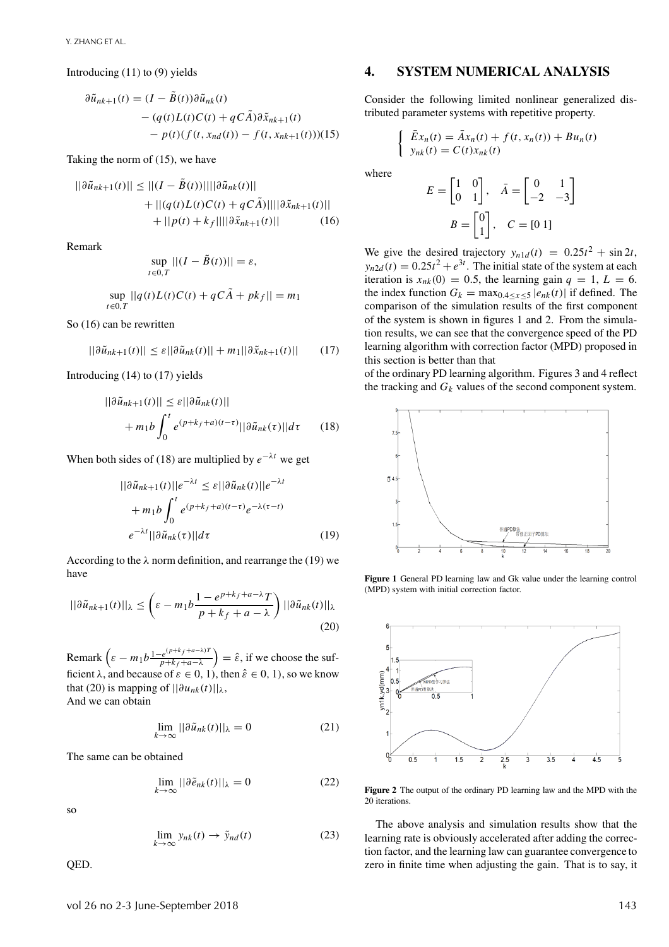Introducing (11) to (9) yields

$$
\partial \tilde{u}_{nk+1}(t) = (I - B(t)) \partial \tilde{u}_{nk}(t)
$$
  
 
$$
- (q(t)L(t)C(t) + qC\tilde{A}) \partial \tilde{x}_{nk+1}(t)
$$
  
 
$$
- p(t)(f(t, x_{nd}(t)) - f(t, x_{nk+1}(t)))(15)
$$

Taking the norm of (15), we have

$$
||\partial \tilde{u}_{nk+1}(t)|| \le ||(I - B(t))|||||\partial \tilde{u}_{nk}(t)||
$$
  
+ 
$$
||(q(t)L(t)C(t) + qC\tilde{A})||||\partial \tilde{x}_{nk+1}(t)||
$$
  
+ 
$$
||p(t) + k_f||||\partial \tilde{x}_{nk+1}(t)||
$$
 (16)

Remark

$$
\sup_{t\in 0,T}||(I-\tilde{B}(t))||=\varepsilon,
$$

$$
\sup_{t \in 0,T} ||q(t)L(t)C(t) + qC\tilde{A} + pk_f|| = m_1
$$

So (16) can be rewritten

$$
||\partial \tilde{u}_{nk+1}(t)|| \leq \varepsilon ||\partial \tilde{u}_{nk}(t)|| + m_1 ||\partial \tilde{x}_{nk+1}(t)|| \qquad (17)
$$

Introducing (14) to (17) yields

$$
||\partial \tilde{u}_{nk+1}(t)|| \leq \varepsilon ||\partial \tilde{u}_{nk}(t)||
$$
  
+  $m_1 b \int_0^t e^{(p+k_f+a)(t-\tau)} ||\partial \tilde{u}_{nk}(\tau)||d\tau$  (18)

When both sides of (18) are multiplied by  $e^{-\lambda t}$  we get

$$
||\partial \tilde{u}_{nk+1}(t)||e^{-\lambda t} \leq \varepsilon ||\partial \tilde{u}_{nk}(t)||e^{-\lambda t}
$$

$$
+ m_1 b \int_0^t e^{(p+k_f+a)(t-\tau)} e^{-\lambda(\tau-t)}
$$

$$
e^{-\lambda t} ||\partial \tilde{u}_{nk}(\tau)||d\tau
$$
(19)

According to the  $\lambda$  norm definition, and rearrange the (19) we have

$$
||\partial \tilde{u}_{nk+1}(t)||_{\lambda} \le \left(\varepsilon - m_1 b \frac{1 - e^{p + k_f + a - \lambda} T}{p + k_f + a - \lambda}\right) ||\partial \tilde{u}_{nk}(t)||_{\lambda}
$$
\n(20)

Remark  $\left(\varepsilon - m_1 b \frac{1 - e^{(p+k_f + a - \lambda)T}}{p + k_f + a - \lambda}\right)$ *p*+*k <sup>f</sup>* +*a*−λ  $= \hat{\varepsilon}$ , if we choose the sufficient  $\lambda$ , and because of  $\varepsilon \in [0, 1)$ , then  $\hat{\varepsilon} \in [0, 1)$ , so we know that (20) is mapping of  $||\partial u_{nk}(t)||_{\lambda}$ , And we can obtain

$$
\lim_{k \to \infty} ||\partial \tilde{u}_{nk}(t)||_{\lambda} = 0 \tag{21}
$$

The same can be obtained

$$
\lim_{k \to \infty} ||\partial \tilde{e}_{nk}(t)||_{\lambda} = 0 \tag{22}
$$

so

$$
\lim_{k \to \infty} y_{nk}(t) \to \tilde{y}_{nd}(t) \tag{23}
$$

QED.

## **4. SYSTEM NUMERICAL ANALYSIS**

Consider the following limited nonlinear generalized distributed parameter systems with repetitive property.

$$
\begin{cases} \bar{E}x_n(t) = \bar{A}x_n(t) + f(t, x_n(t)) + Bu_n(t) \\ y_{nk}(t) = C(t)x_{nk}(t) \end{cases}
$$

where

$$
E = \begin{bmatrix} 1 & 0 \\ 0 & 1 \end{bmatrix}, \quad \bar{A} = \begin{bmatrix} 0 & 1 \\ -2 & -3 \end{bmatrix}
$$

$$
B = \begin{bmatrix} 0 \\ 1 \end{bmatrix}, \quad C = \begin{bmatrix} 0 & 1 \end{bmatrix}
$$

We give the desired trajectory  $y_{n1d}(t) = 0.25t^2 + \sin 2t$ ,  $y_{n2d}(t) = 0.25t^2 + e^{3t}$ . The initial state of the system at each iteration is  $x_{nk}(0) = 0.5$ , the learning gain  $q = 1, L = 6$ . the index function  $G_k = \max_{0, 4 \le x \le 5} |e_{nk}(t)|$  if defined. The comparison of the simulation results of the first component of the system is shown in figures 1 and 2. From the simulation results, we can see that the convergence speed of the PD learning algorithm with correction factor (MPD) proposed in this section is better than that

of the ordinary PD learning algorithm. Figures 3 and 4 reflect the tracking and  $G_k$  values of the second component system.



**Figure 1** General PD learning law and Gk value under the learning control (MPD) system with initial correction factor.



**Figure 2** The output of the ordinary PD learning law and the MPD with the 20 iterations.

The above analysis and simulation results show that the learning rate is obviously accelerated after adding the correction factor, and the learning law can guarantee convergence to zero in finite time when adjusting the gain. That is to say, it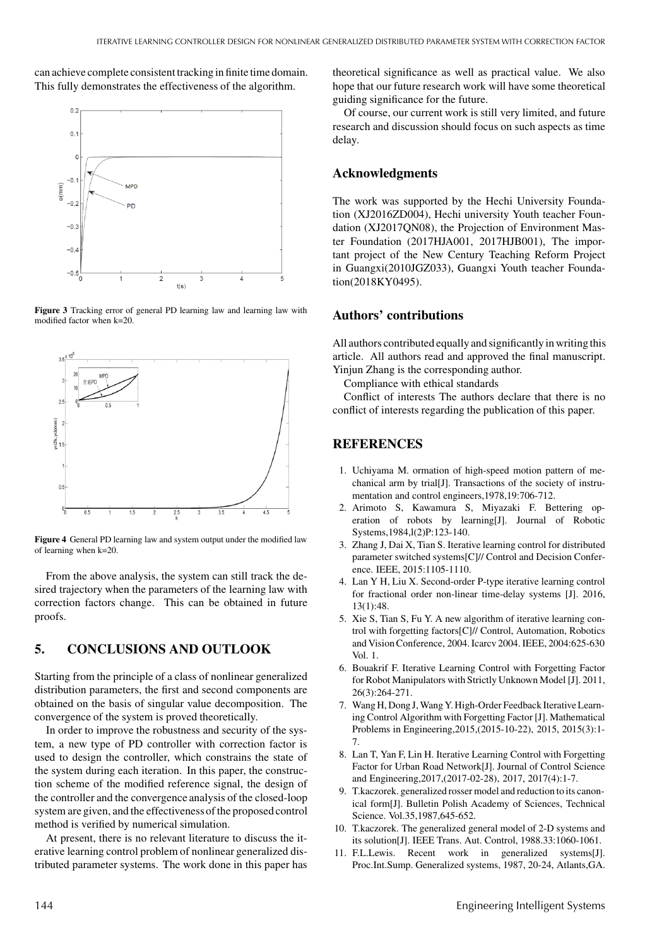can achieve complete consistent tracking in finite time domain. This fully demonstrates the effectiveness of the algorithm.



**Figure 3** Tracking error of general PD learning law and learning law with modified factor when k=20.



**Figure 4** General PD learning law and system output under the modified law of learning when k=20.

From the above analysis, the system can still track the desired trajectory when the parameters of the learning law with correction factors change. This can be obtained in future proofs.

## **5. CONCLUSIONS AND OUTLOOK**

Starting from the principle of a class of nonlinear generalized distribution parameters, the first and second components are obtained on the basis of singular value decomposition. The convergence of the system is proved theoretically.

In order to improve the robustness and security of the system, a new type of PD controller with correction factor is used to design the controller, which constrains the state of the system during each iteration. In this paper, the construction scheme of the modified reference signal, the design of the controller and the convergence analysis of the closed-loop system are given, and the effectiveness of the proposed control method is verified by numerical simulation.

At present, there is no relevant literature to discuss the iterative learning control problem of nonlinear generalized distributed parameter systems. The work done in this paper has

theoretical significance as well as practical value. We also hope that our future research work will have some theoretical guiding significance for the future.

Of course, our current work is still very limited, and future research and discussion should focus on such aspects as time delay.

#### **Acknowledgments**

The work was supported by the Hechi University Foundation (XJ2016ZD004), Hechi university Youth teacher Foundation (XJ2017QN08), the Projection of Environment Master Foundation (2017HJA001, 2017HJB001), The important project of the New Century Teaching Reform Project in Guangxi(2010JGZ033), Guangxi Youth teacher Foundation(2018KY0495).

#### **Authors' contributions**

All authors contributed equally and significantly in writing this article. All authors read and approved the final manuscript. Yinjun Zhang is the corresponding author.

Compliance with ethical standards

Conflict of interests The authors declare that there is no conflict of interests regarding the publication of this paper.

#### **REFERENCES**

- 1. Uchiyama M. ormation of high-speed motion pattern of mechanical arm by trial[J]. Transactions of the society of instrumentation and control engineers,1978,19:706-712.
- 2. Arimoto S, Kawamura S, Miyazaki F. Bettering operation of robots by learning[J]. Journal of Robotic Systems,1984,l(2)P:123-140.
- 3. Zhang J, Dai X, Tian S. Iterative learning control for distributed parameter switched systems[C]// Control and Decision Conference. IEEE, 2015:1105-1110.
- 4. Lan Y H, Liu X. Second-order P-type iterative learning control for fractional order non-linear time-delay systems [J]. 2016, 13(1):48.
- 5. Xie S, Tian S, Fu Y. A new algorithm of iterative learning control with forgetting factors[C]// Control, Automation, Robotics and Vision Conference, 2004.Icarcv 2004. IEEE, 2004:625-630 Vol. 1.
- 6. Bouakrif F. Iterative Learning Control with Forgetting Factor for Robot Manipulators with Strictly Unknown Model [J]. 2011, 26(3):264-271.
- 7. Wang H, Dong J,Wang Y. High-Order Feedback Iterative Learning Control Algorithm with Forgetting Factor [J]. Mathematical Problems in Engineering,2015,(2015-10-22), 2015, 2015(3):1- 7.
- 8. Lan T, Yan F, Lin H. Iterative Learning Control with Forgetting Factor for Urban Road Network[J]. Journal of Control Science and Engineering,2017,(2017-02-28), 2017, 2017(4):1-7.
- 9. T.kaczorek. generalized rosser model and reduction to its canonical form[J]. Bulletin Polish Academy of Sciences, Technical Science. Vol.35,1987,645-652.
- 10. T.kaczorek. The generalized general model of 2-D systems and its solution[J]. IEEE Trans. Aut. Control, 1988.33:1060-1061.
- 11. F.L.Lewis. Recent work in generalized systems[J]. Proc.Int.Sump. Generalized systems, 1987, 20-24, Atlants,GA.